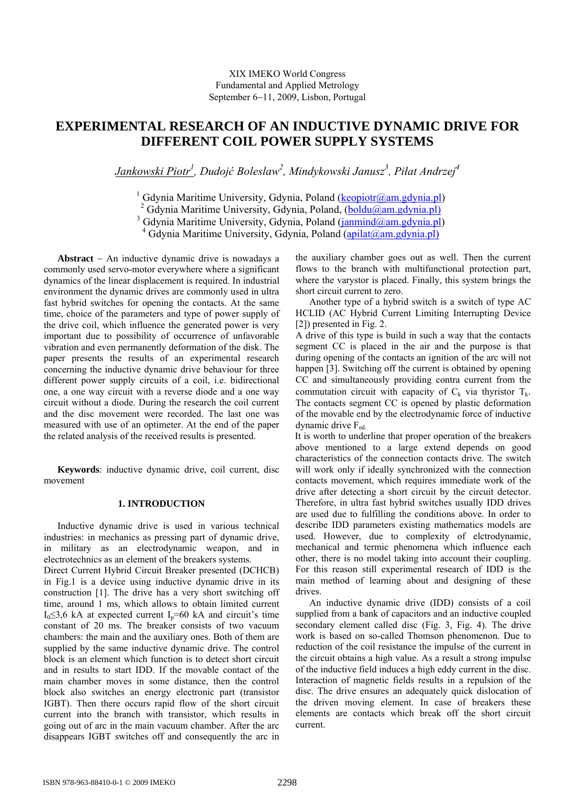# **EXPERIMENTAL RESEARCH OF AN INDUCTIVE DYNAMIC DRIVE FOR DIFFERENT COIL POWER SUPPLY SYSTEMS**

*Jankowski Piotr1 , Dudojć Boleslaw2 , Mindykowski Janusz3 , Piłat Andrzej<sup>4</sup>*

<sup>1</sup> Gdynia Maritime University, Gdynia, Poland (keopiotr@am.gdynia.pl)

<sup>2</sup> Gdynia Maritime University, Gdynia, Poland, (boldu@am.gdynia.pl)

<sup>3</sup> Gdynia Maritime University, Gdynia, Poland (janmind@am.gdynia.pl)

<sup>4</sup> Gdynia Maritime University, Gdynia, Poland (apilat@am.gdynia.pl)

**Abstract**  $-$  An inductive dynamic drive is nowadays a commonly used servo-motor everywhere where a significant dynamics of the linear displacement is required. In industrial environment the dynamic drives are commonly used in ultra fast hybrid switches for opening the contacts. At the same time, choice of the parameters and type of power supply of the drive coil, which influence the generated power is very important due to possibility of occurrence of unfavorable vibration and even permanently deformation of the disk. The paper presents the results of an experimental research concerning the inductive dynamic drive behaviour for three different power supply circuits of a coil, i.e. bidirectional one, a one way circuit with a reverse diode and a one way circuit without a diode. During the research the coil current and the disc movement were recorded. The last one was measured with use of an optimeter. At the end of the paper the related analysis of the received results is presented.

**Keywords**: inductive dynamic drive, coil current, disc movement

## **1. INTRODUCTION**

Inductive dynamic drive is used in various technical industries: in mechanics as pressing part of dynamic drive, in military as an electrodynamic weapon, and in electrotechnics as an element of the breakers systems.

Direct Current Hybrid Circuit Breaker presented (DCHCB) in Fig.1 is a device using inductive dynamic drive in its construction [1]. The drive has a very short switching off time, around 1 ms, which allows to obtain limited current I<sub>0</sub>≤3,6 kA at expected current I<sub>p</sub>=60 kA and circuit's time constant of 20 ms. The breaker consists of two vacuum chambers: the main and the auxiliary ones. Both of them are supplied by the same inductive dynamic drive. The control block is an element which function is to detect short circuit and in results to start IDD. If the movable contact of the main chamber moves in some distance, then the control block also switches an energy electronic part (transistor IGBT). Then there occurs rapid flow of the short circuit current into the branch with transistor, which results in going out of arc in the main vacuum chamber. After the arc disappears IGBT switches off and consequently the arc in

the auxiliary chamber goes out as well. Then the current flows to the branch with multifunctional protection part, where the varystor is placed. Finally, this system brings the short circuit current to zero.

 Another type of a hybrid switch is a switch of type AC HCLID (AC Hybrid Current Limiting Interrupting Device [2]) presented in Fig. 2.

A drive of this type is build in such a way that the contacts segment CC is placed in the air and the purpose is that during opening of the contacts an ignition of the arc will not happen [3]. Switching off the current is obtained by opening CC and simultaneously providing contra current from the commutation circuit with capacity of  $C_k$  via thyristor  $T_k$ . The contacts segment CC is opened by plastic deformation of the movable end by the electrodynamic force of inductive dynamic drive  $F_{\text{ed}}$ 

It is worth to underline that proper operation of the breakers above mentioned to a large extend depends on good characteristics of the connection contacts drive. The switch will work only if ideally synchronized with the connection contacts movement, which requires immediate work of the drive after detecting a short circuit by the circuit detector. Therefore, in ultra fast hybrid switches usually IDD drives are used due to fulfilling the conditions above. In order to describe IDD parameters existing mathematics models are used. However, due to complexity of elctrodynamic, mechanical and termic phenomena which influence each other, there is no model taking into account their coupling. For this reason still experimental research of IDD is the main method of learning about and designing of these drives.

An inductive dynamic drive (IDD) consists of a coil supplied from a bank of capacitors and an inductive coupled secondary element called disc (Fig. 3, Fig. 4). The drive work is based on so-called Thomson phenomenon. Due to reduction of the coil resistance the impulse of the current in the circuit obtains a high value. As a result a strong impulse of the inductive field induces a high eddy current in the disc. Interaction of magnetic fields results in a repulsion of the disc. The drive ensures an adequately quick dislocation of the driven moving element. In case of breakers these elements are contacts which break off the short circuit current.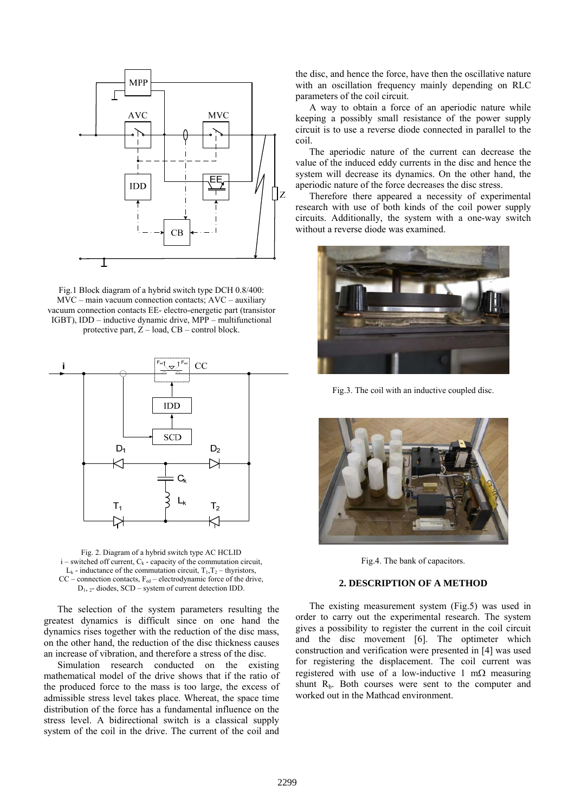

Fig.1 Block diagram of a hybrid switch type DCH 0.8/400: MVC – main vacuum connection contacts; AVC – auxiliary vacuum connection contacts EE- electro-energetic part (transistor IGBT), IDD – inductive dynamic drive, MPP – multifunctional protective part,  $Z - load$ ,  $CB - control block$ .



Fig. 2. Diagram of a hybrid switch type AC HCLID  $i$  – switched off current,  $C_k$  - capacity of the commutation circuit,  $L_k$  - inductance of the commutation circuit,  $T_1, T_2$  – thyristors,  $CC$  – connection contacts,  $F_{ed}$  – electrodynamic force of the drive,  $D_1$ ,  $\alpha$ - diodes, SCD – system of current detection IDD.

The selection of the system parameters resulting the greatest dynamics is difficult since on one hand the dynamics rises together with the reduction of the disc mass, on the other hand, the reduction of the disc thickness causes an increase of vibration, and therefore a stress of the disc. Simulation research conducted on the existing

mathematical model of the drive shows that if the ratio of the produced force to the mass is too large, the excess of admissible stress level takes place. Whereat, the space time distribution of the force has a fundamental influence on the stress level. A bidirectional switch is a classical supply system of the coil in the drive. The current of the coil and

the disc, and hence the force, have then the oscillative nature with an oscillation frequency mainly depending on RLC parameters of the coil circuit.

A way to obtain a force of an aperiodic nature while keeping a possibly small resistance of the power supply circuit is to use a reverse diode connected in parallel to the coil.

The aperiodic nature of the current can decrease the value of the induced eddy currents in the disc and hence the system will decrease its dynamics. On the other hand, the aperiodic nature of the force decreases the disc stress.

Therefore there appeared a necessity of experimental research with use of both kinds of the coil power supply circuits. Additionally, the system with a one-way switch without a reverse diode was examined.



Fig.3. The coil with an inductive coupled disc.



Fig.4. The bank of capacitors.

## **2. DESCRIPTION OF A METHOD**

The existing measurement system (Fig.5) was used in order to carry out the experimental research. The system gives a possibility to register the current in the coil circuit and the disc movement [6]. The optimeter which construction and verification were presented in [4] was used for registering the displacement. The coil current was registered with use of a low-inductive 1 m $\Omega$  measuring shunt  $R<sub>b</sub>$ . Both courses were sent to the computer and worked out in the Mathcad environment.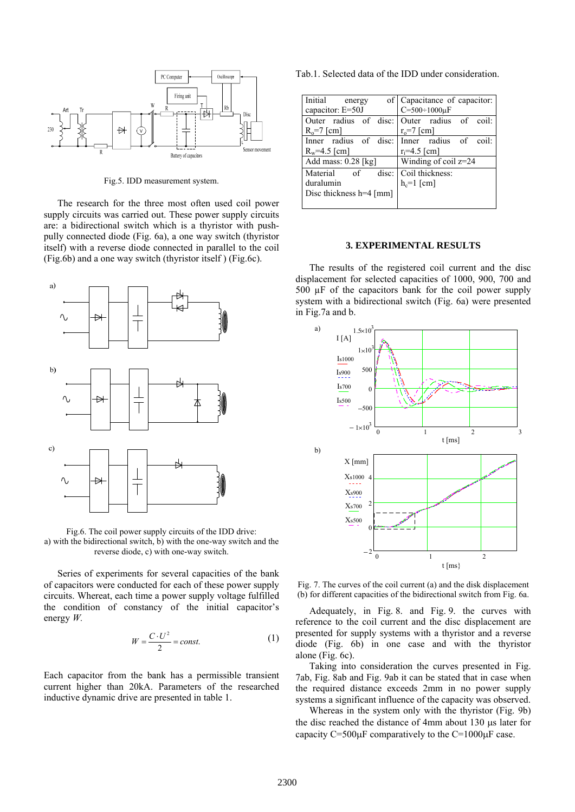

Fig.5. IDD measurement system.

The research for the three most often used coil power supply circuits was carried out. These power supply circuits are: a bidirectional switch which is a thyristor with pushpully connected diode (Fig. 6a), a one way switch (thyristor itself) with a reverse diode connected in parallel to the coil (Fig.6b) and a one way switch (thyristor itself ) (Fig.6c).



Fig.6. The coil power supply circuits of the IDD drive: a) with the bidirectional switch, b) with the one-way switch and the reverse diode, c) with one-way switch.

Series of experiments for several capacities of the bank of capacitors were conducted for each of these power supply circuits. Whereat, each time a power supply voltage fulfilled the condition of constancy of the initial capacitor's energy *W.*

$$
W = \frac{C \cdot U^2}{2} = const.
$$
 (1)

Each capacitor from the bank has a permissible transient current higher than 20kA. Parameters of the researched inductive dynamic drive are presented in table 1.

Tab.1. Selected data of the IDD under consideration.

| Initial<br>energy       | of Capacitance of capacitor:                |
|-------------------------|---------------------------------------------|
| capacitor: E=50J        | $C = 500 \div 1000 \mu F$                   |
|                         | Outer radius of disc: Outer radius of coil: |
| $R_0 = 7$ [cm]          | $r_0$ =7 [cm]                               |
|                         | Inner radius of disc: Inner radius of coil: |
| $R_w = 4.5$ [cm]        | $r_i = 4.5$ [cm]                            |
| Add mass: $0.28$ [kg]   | Winding of coil $z=24$                      |
| Material of<br>disc:    | Coil thickness:                             |
| duralumin               | $h_c=1$ [cm]                                |
| Disc thickness h=4 [mm] |                                             |
|                         |                                             |

#### **3. EXPERIMENTAL RESULTS**

The results of the registered coil current and the disc displacement for selected capacities of 1000, 900, 700 and 500  $\mu$ F of the capacitors bank for the coil power supply system with a bidirectional switch (Fig. 6a) were presented in Fig.7a and b.



Fig. 7. The curves of the coil current (a) and the disk displacement (b) for different capacities of the bidirectional switch from Fig. 6a.

Adequately, in Fig. 8. and Fig. 9. the curves with reference to the coil current and the disc displacement are presented for supply systems with a thyristor and a reverse diode (Fig. 6b) in one case and with the thyristor alone (Fig. 6c).

Taking into consideration the curves presented in Fig. 7ab, Fig. 8ab and Fig. 9ab it can be stated that in case when the required distance exceeds 2mm in no power supply systems a significant influence of the capacity was observed.

Whereas in the system only with the thyristor (Fig. 9b) the disc reached the distance of 4mm about  $130 \mu s$  later for capacity  $C=500\mu F$  comparatively to the  $C=1000\mu F$  case.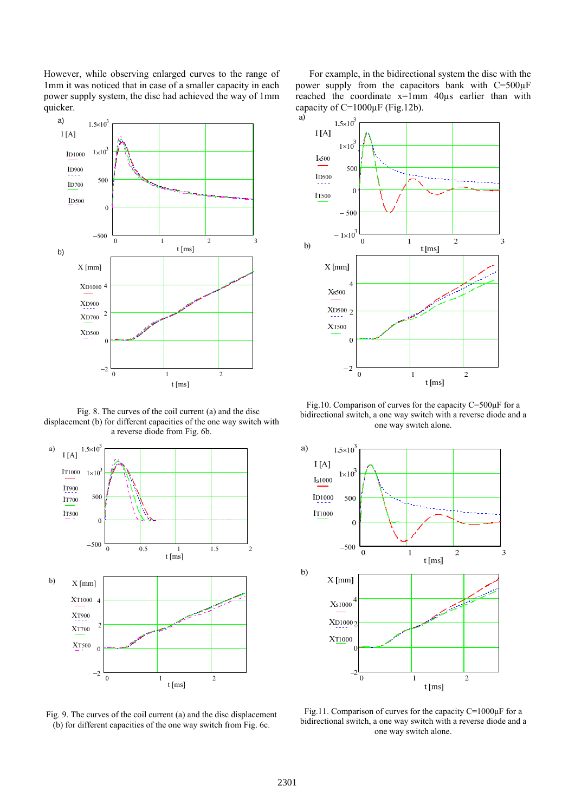However, while observing enlarged curves to the range of 1mm it was noticed that in case of a smaller capacity in each power supply system, the disc had achieved the way of 1mm quicker.



Fig. 8. The curves of the coil current (a) and the disc displacement (b) for different capacities of the one way switch with a reverse diode from Fig. 6b.



Fig. 9. The curves of the coil current (a) and the disc displacement (b) for different capacities of the one way switch from Fig. 6c.

For example, in the bidirectional system the disc with the power supply from the capacitors bank with  $C=500\mu F$ reached the coordinate x=1mm 40µs earlier than with capacity of C=1000 $\mu$ F (Fig.12b).



Fig.10. Comparison of curves for the capacity C=500μF for a bidirectional switch, a one way switch with a reverse diode and a one way switch alone.



Fig.11. Comparison of curves for the capacity C=1000μF for a bidirectional switch, a one way switch with a reverse diode and a one way switch alone.